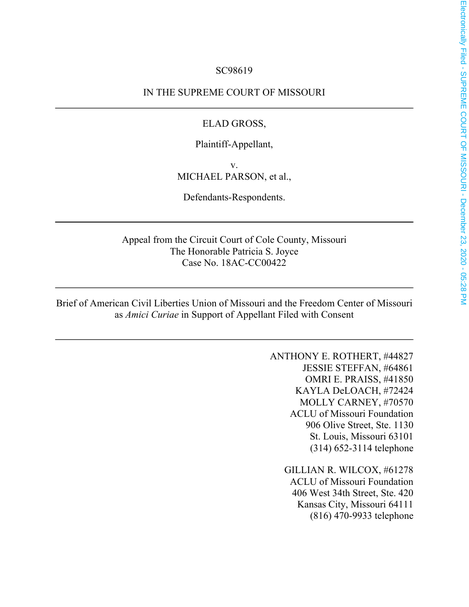#### SC98619

IN THE SUPREME COURT OF MISSOURI

#### ELAD GROSS,

Plaintiff-Appellant,

v. MICHAEL PARSON, et al.,

Defendants-Respondents.

Appeal from the Circuit Court of Cole County, Missouri The Honorable Patricia S. Joyce Case No. 18AC-CC00422

Brief of American Civil Liberties Union of Missouri and the Freedom Center of Missouri as *Amici Curiae* in Support of Appellant Filed with Consent

> ANTHONY E. ROTHERT, #44827 JESSIE STEFFAN, #64861 OMRI E. PRAISS, #41850 KAYLA DeLOACH, #72424 MOLLY CARNEY, #70570 ACLU of Missouri Foundation 906 Olive Street, Ste. 1130 St. Louis, Missouri 63101 (314) 652-3114 telephone

> > GILLIAN R. WILCOX, #61278 ACLU of Missouri Foundation 406 West 34th Street, Ste. 420 Kansas City, Missouri 64111 (816) 470-9933 telephone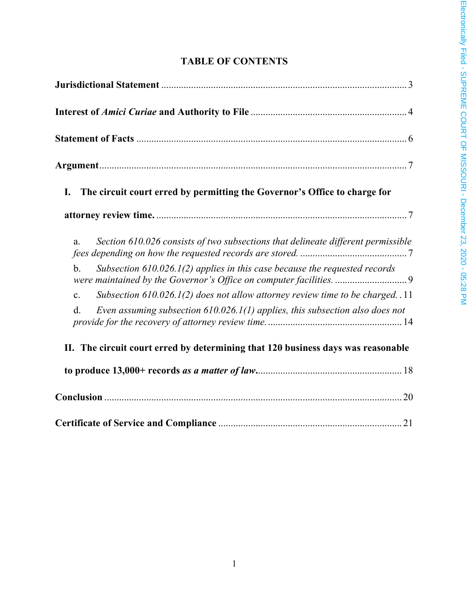## **TABLE OF CONTENTS**

| The circuit court erred by permitting the Governor's Office to charge for<br>I.                    |
|----------------------------------------------------------------------------------------------------|
|                                                                                                    |
| Section 610.026 consists of two subsections that delineate different permissible<br>a.             |
| Subsection $610.026.1(2)$ applies in this case because the requested records<br>$\mathbf{b}$ .     |
| Subsection $610.026.1(2)$ does not allow attorney review time to be charged. .11<br>$\mathbf{c}$ . |
| Even assuming subsection $610.026.1(1)$ applies, this subsection also does not<br>d.               |
| II. The circuit court erred by determining that 120 business days was reasonable                   |
|                                                                                                    |
|                                                                                                    |
|                                                                                                    |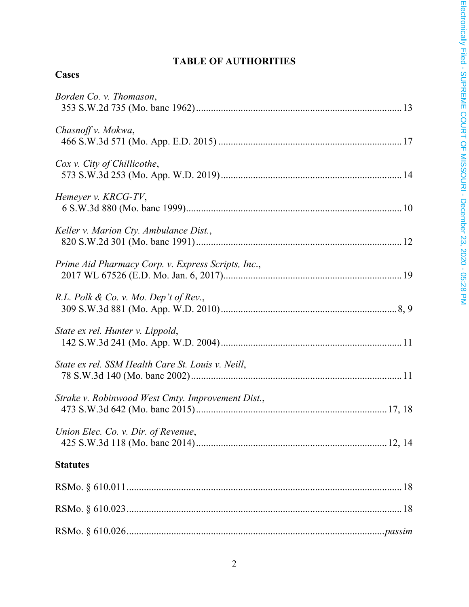# **TABLE OF AUTHORITIES**

| Borden Co. v. Thomason,                            |
|----------------------------------------------------|
| Chasnoff v. Mokwa,                                 |
| Cox v. City of Chillicothe,                        |
| Hemeyer v. KRCG-TV,                                |
| Keller v. Marion Cty. Ambulance Dist.,             |
| Prime Aid Pharmacy Corp. v. Express Scripts, Inc., |
| R.L. Polk & Co. v. Mo. Dep't of Rev.,              |
| State ex rel. Hunter v. Lippold,                   |
| State ex rel. SSM Health Care St. Louis v. Neill,  |
| Strake v. Robinwood West Cmty. Improvement Dist.,  |
| Union Elec. Co. v. Dir. of Revenue,                |
| <b>Statutes</b>                                    |
|                                                    |
|                                                    |
|                                                    |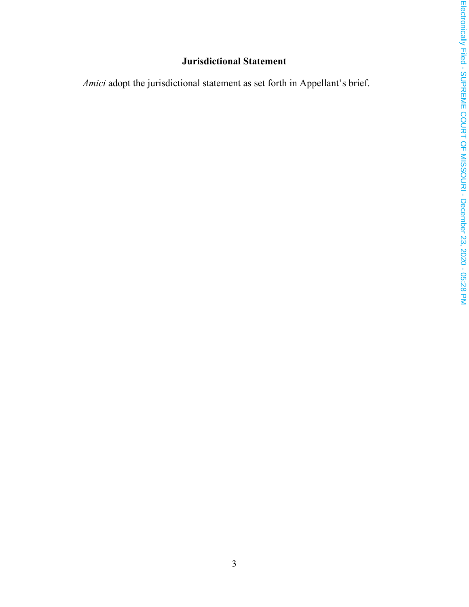### **Jurisdictional Statement**

<span id="page-3-0"></span>*Amici* adopt the jurisdictional statement as set forth in Appellant's brief.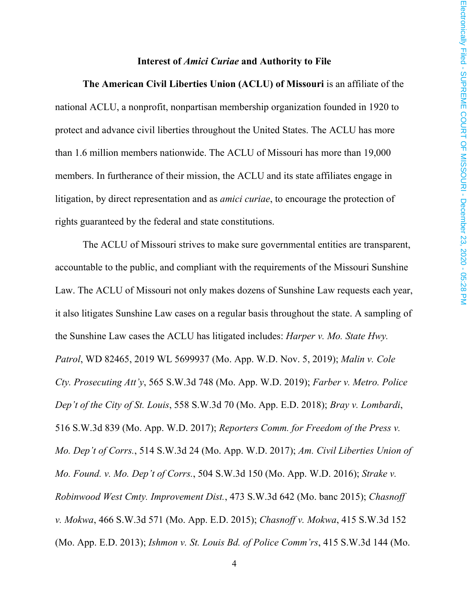#### **Interest of** *Amici Curiae* **and Authority to File**

<span id="page-4-0"></span>**The American Civil Liberties Union (ACLU) of Missouri** is an affiliate of the national ACLU, a nonprofit, nonpartisan membership organization founded in 1920 to protect and advance civil liberties throughout the United States. The ACLU has more than 1.6 million members nationwide. The ACLU of Missouri has more than 19,000 members. In furtherance of their mission, the ACLU and its state affiliates engage in litigation, by direct representation and as *amici curiae*, to encourage the protection of rights guaranteed by the federal and state constitutions.

The ACLU of Missouri strives to make sure governmental entities are transparent, accountable to the public, and compliant with the requirements of the Missouri Sunshine Law. The ACLU of Missouri not only makes dozens of Sunshine Law requests each year, it also litigates Sunshine Law cases on a regular basis throughout the state. A sampling of the Sunshine Law cases the ACLU has litigated includes: *Harper v. Mo. State Hwy. Patrol*, WD 82465, 2019 WL 5699937 (Mo. App. W.D. Nov. 5, 2019); *Malin v. Cole Cty. Prosecuting Att'y*, 565 S.W.3d 748 (Mo. App. W.D. 2019); *Farber v. Metro. Police Dep't of the City of St. Louis*, 558 S.W.3d 70 (Mo. App. E.D. 2018); *Bray v. Lombardi*, 516 S.W.3d 839 (Mo. App. W.D. 2017); *Reporters Comm. for Freedom of the Press v. Mo. Dep't of Corrs.*, 514 S.W.3d 24 (Mo. App. W.D. 2017); *Am. Civil Liberties Union of Mo. Found. v. Mo. Dep't of Corrs.*, 504 S.W.3d 150 (Mo. App. W.D. 2016); *Strake v. Robinwood West Cmty. Improvement Dist.*, 473 S.W.3d 642 (Mo. banc 2015); *Chasnoff v. Mokwa*, 466 S.W.3d 571 (Mo. App. E.D. 2015); *Chasnoff v. Mokwa*, 415 S.W.3d 152 (Mo. App. E.D. 2013); *Ishmon v. St. Louis Bd. of Police Comm'rs*, 415 S.W.3d 144 (Mo.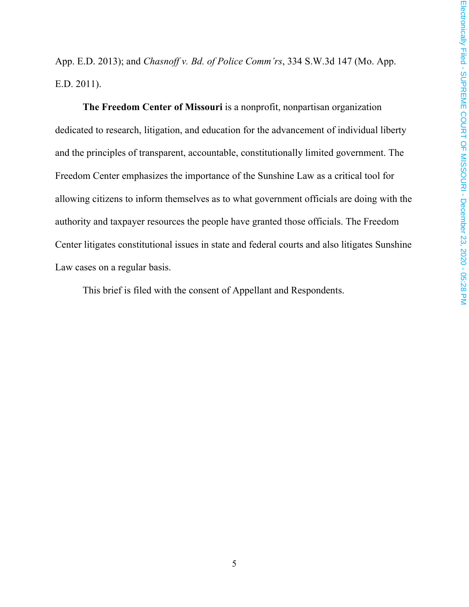App. E.D. 2013); and *Chasnoff v. Bd. of Police Comm'rs*, 334 S.W.3d 147 (Mo. App. E.D. 2011).

**The Freedom Center of Missouri** is a nonprofit, nonpartisan organization dedicated to research, litigation, and education for the advancement of individual liberty and the principles of transparent, accountable, constitutionally limited government. The Freedom Center emphasizes the importance of the Sunshine Law as a critical tool for allowing citizens to inform themselves as to what government officials are doing with the authority and taxpayer resources the people have granted those officials. The Freedom Center litigates constitutional issues in state and federal courts and also litigates Sunshine Law cases on a regular basis.

This brief is filed with the consent of Appellant and Respondents.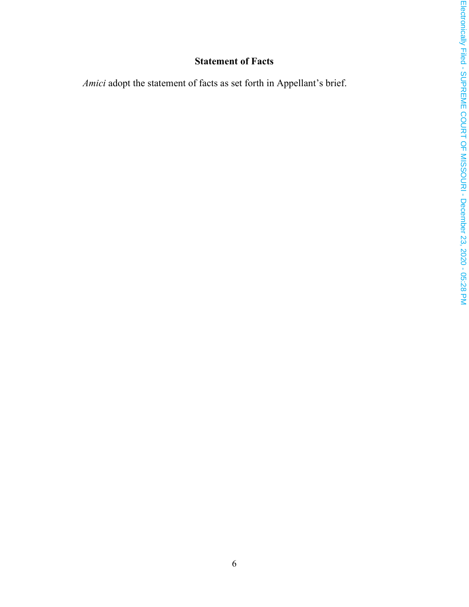## **Statement of Facts**

<span id="page-6-0"></span>*Amici* adopt the statement of facts as set forth in Appellant's brief.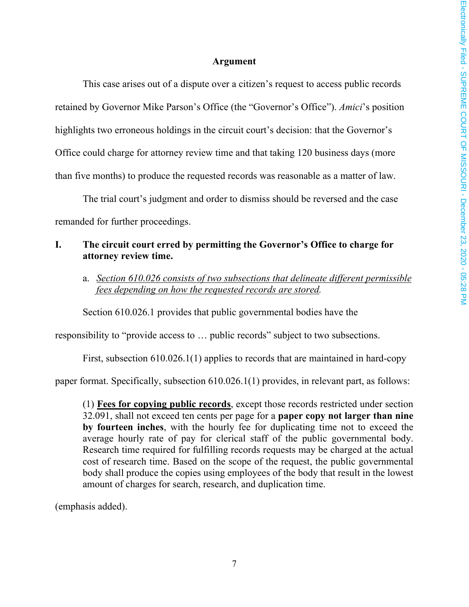#### **Argument**

<span id="page-7-0"></span>This case arises out of a dispute over a citizen's request to access public records retained by Governor Mike Parson's Office (the "Governor's Office"). *Amici*'s position highlights two erroneous holdings in the circuit court's decision: that the Governor's Office could charge for attorney review time and that taking 120 business days (more than five months) to produce the requested records was reasonable as a matter of law.

The trial court's judgment and order to dismiss should be reversed and the case remanded for further proceedings.

#### <span id="page-7-1"></span>**I. The circuit court erred by permitting the Governor's Office to charge for attorney review time.**

<span id="page-7-2"></span>a. *Section 610.026 consists of two subsections that delineate different permissible fees depending on how the requested records are stored.*

Section 610.026.1 provides that public governmental bodies have the

responsibility to "provide access to … public records" subject to two subsections.

First, subsection 610.026.1(1) applies to records that are maintained in hard-copy

paper format. Specifically, subsection 610.026.1(1) provides, in relevant part, as follows:

(1) **Fees for copying public records**, except those records restricted under section 32.091, shall not exceed ten cents per page for a **paper copy not larger than nine by fourteen inches**, with the hourly fee for duplicating time not to exceed the average hourly rate of pay for clerical staff of the public governmental body. Research time required for fulfilling records requests may be charged at the actual cost of research time. Based on the scope of the request, the public governmental body shall produce the copies using employees of the body that result in the lowest amount of charges for search, research, and duplication time.

(emphasis added).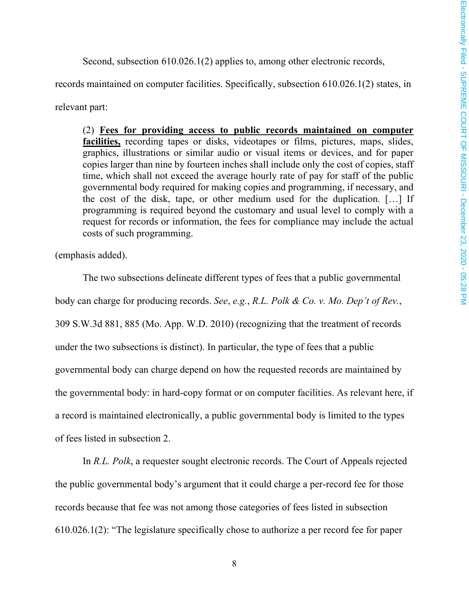Second, subsection 610.026.1(2) applies to, among other electronic records,

records maintained on computer facilities. Specifically, subsection 610.026.1(2) states, in

relevant part:

(2) **Fees for providing access to public records maintained on computer facilities,** recording tapes or disks, videotapes or films, pictures, maps, slides, graphics, illustrations or similar audio or visual items or devices, and for paper copies larger than nine by fourteen inches shall include only the cost of copies, staff time, which shall not exceed the average hourly rate of pay for staff of the public governmental body required for making copies and programming, if necessary, and the cost of the disk, tape, or other medium used for the duplication. […] If programming is required beyond the customary and usual level to comply with a request for records or information, the fees for compliance may include the actual costs of such programming.

(emphasis added).

The two subsections delineate different types of fees that a public governmental body can charge for producing records. *See*, *e.g.*, *R.L. Polk & Co. v. Mo. Dep't of Rev.*, 309 S.W.3d 881, 885 (Mo. App. W.D. 2010) (recognizing that the treatment of records under the two subsections is distinct). In particular, the type of fees that a public governmental body can charge depend on how the requested records are maintained by the governmental body: in hard-copy format or on computer facilities. As relevant here, if a record is maintained electronically, a public governmental body is limited to the types of fees listed in subsection 2.

In *R.L. Polk*, a requester sought electronic records. The Court of Appeals rejected the public governmental body's argument that it could charge a per-record fee for those records because that fee was not among those categories of fees listed in subsection 610.026.1(2): "The legislature specifically chose to authorize a per record fee for paper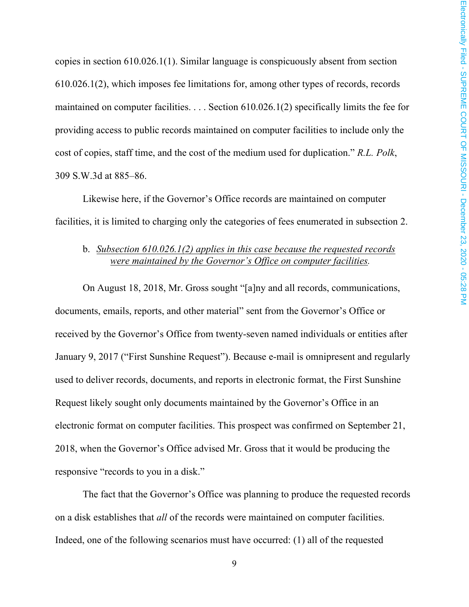copies in section 610.026.1(1). Similar language is conspicuously absent from section 610.026.1(2), which imposes fee limitations for, among other types of records, records maintained on computer facilities. . . . Section 610.026.1(2) specifically limits the fee for providing access to public records maintained on computer facilities to include only the cost of copies, staff time, and the cost of the medium used for duplication." *R.L. Polk*, 309 S.W.3d at 885–86.

Likewise here, if the Governor's Office records are maintained on computer facilities, it is limited to charging only the categories of fees enumerated in subsection 2.

#### <span id="page-9-0"></span>b. *Subsection 610.026.1(2) applies in this case because the requested records were maintained by the Governor's Office on computer facilities.*

On August 18, 2018, Mr. Gross sought "[a]ny and all records, communications, documents, emails, reports, and other material" sent from the Governor's Office or received by the Governor's Office from twenty-seven named individuals or entities after January 9, 2017 ("First Sunshine Request"). Because e-mail is omnipresent and regularly used to deliver records, documents, and reports in electronic format, the First Sunshine Request likely sought only documents maintained by the Governor's Office in an electronic format on computer facilities. This prospect was confirmed on September 21, 2018, when the Governor's Office advised Mr. Gross that it would be producing the responsive "records to you in a disk."

The fact that the Governor's Office was planning to produce the requested records on a disk establishes that *all* of the records were maintained on computer facilities. Indeed, one of the following scenarios must have occurred: (1) all of the requested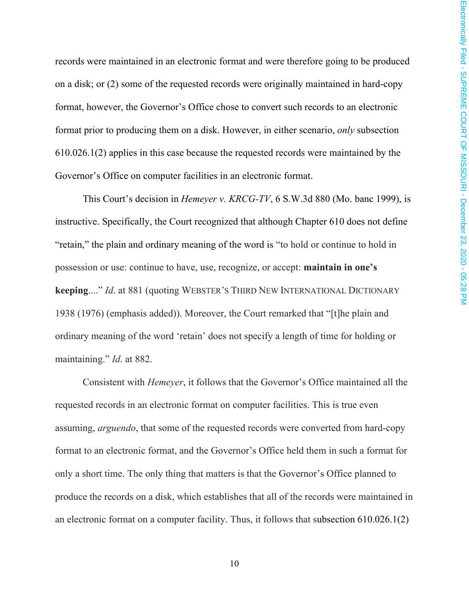records were maintained in an electronic format and were therefore going to be produced on a disk; or (2) some of the requested records were originally maintained in hard-copy format, however, the Governor's Office chose to convert such records to an electronic format prior to producing them on a disk. However, in either scenario, *only* subsection 610.026.1(2) applies in this case because the requested records were maintained by the Governor's Office on computer facilities in an electronic format.

This Court's decision in *Hemeyer v. KRCG-TV*, 6 S.W.3d 880 (Mo. banc 1999), is instructive. Specifically, the Court recognized that although Chapter 610 does not define "retain," the plain and ordinary meaning of the word is "to hold or continue to hold in possession or use: continue to have, use, recognize, or accept: **maintain in one's keeping**...." *Id*. at 881 (quoting WEBSTER'S THIRD NEW INTERNATIONAL DICTIONARY 1938 (1976) (emphasis added)). Moreover, the Court remarked that "[t]he plain and ordinary meaning of the word 'retain' does not specify a length of time for holding or maintaining." *Id*. at 882.

Consistent with *Hemeyer*, it follows that the Governor's Office maintained all the requested records in an electronic format on computer facilities. This is true even assuming, *arguendo*, that some of the requested records were converted from hard-copy format to an electronic format, and the Governor's Office held them in such a format for only a short time. The only thing that matters is that the Governor's Office planned to produce the records on a disk, which establishes that all of the records were maintained in an electronic format on a computer facility. Thus, it follows that subsection 610.026.1(2)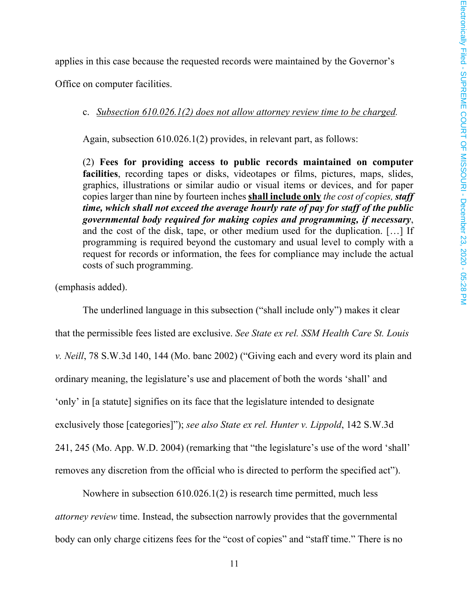applies in this case because the requested records were maintained by the Governor's

<span id="page-11-0"></span>Office on computer facilities.

#### c. *Subsection 610.026.1(2) does not allow attorney review time to be charged.*

Again, subsection 610.026.1(2) provides, in relevant part, as follows:

(2) **Fees for providing access to public records maintained on computer facilities**, recording tapes or disks, videotapes or films, pictures, maps, slides, graphics, illustrations or similar audio or visual items or devices, and for paper copies larger than nine by fourteen inches **shall include only** *the cost of copies, staff time, which shall not exceed the average hourly rate of pay for staff of the public governmental body required for making copies and programming, if necessary*, and the cost of the disk, tape, or other medium used for the duplication. […] If programming is required beyond the customary and usual level to comply with a request for records or information, the fees for compliance may include the actual costs of such programming.

(emphasis added).

The underlined language in this subsection ("shall include only") makes it clear that the permissible fees listed are exclusive. *See State ex rel. SSM Health Care St. Louis v. Neill*, 78 S.W.3d 140, 144 (Mo. banc 2002) ("Giving each and every word its plain and ordinary meaning, the legislature's use and placement of both the words 'shall' and 'only' in [a statute] signifies on its face that the legislature intended to designate exclusively those [categories]"); *see also State ex rel. Hunter v. Lippold*, 142 S.W.3d 241, 245 (Mo. App. W.D. 2004) (remarking that "the legislature's use of the word 'shall' removes any discretion from the official who is directed to perform the specified act").

Nowhere in subsection 610.026.1(2) is research time permitted, much less *attorney review* time. Instead, the subsection narrowly provides that the governmental body can only charge citizens fees for the "cost of copies" and "staff time." There is no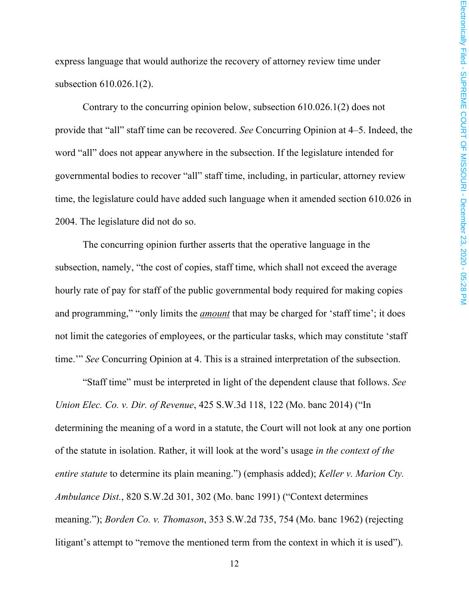express language that would authorize the recovery of attorney review time under subsection 610.026.1(2).

Contrary to the concurring opinion below, subsection 610.026.1(2) does not provide that "all" staff time can be recovered. *See* Concurring Opinion at 4–5. Indeed, the word "all" does not appear anywhere in the subsection. If the legislature intended for governmental bodies to recover "all" staff time, including, in particular, attorney review time, the legislature could have added such language when it amended section 610.026 in 2004. The legislature did not do so.

The concurring opinion further asserts that the operative language in the subsection, namely, "the cost of copies, staff time, which shall not exceed the average hourly rate of pay for staff of the public governmental body required for making copies and programming," "only limits the *amount* that may be charged for 'staff time'; it does not limit the categories of employees, or the particular tasks, which may constitute 'staff time.'" *See* Concurring Opinion at 4. This is a strained interpretation of the subsection.

"Staff time" must be interpreted in light of the dependent clause that follows. *See Union Elec. Co. v. Dir. of Revenue*, 425 S.W.3d 118, 122 (Mo. banc 2014) ("In determining the meaning of a word in a statute, the Court will not look at any one portion of the statute in isolation. Rather, it will look at the word's usage *in the context of the entire statute* to determine its plain meaning.") (emphasis added); *Keller v. Marion Cty. Ambulance Dist.*, 820 S.W.2d 301, 302 (Mo. banc 1991) ("Context determines meaning."); *Borden Co. v. Thomason*, 353 S.W.2d 735, 754 (Mo. banc 1962) (rejecting litigant's attempt to "remove the mentioned term from the context in which it is used").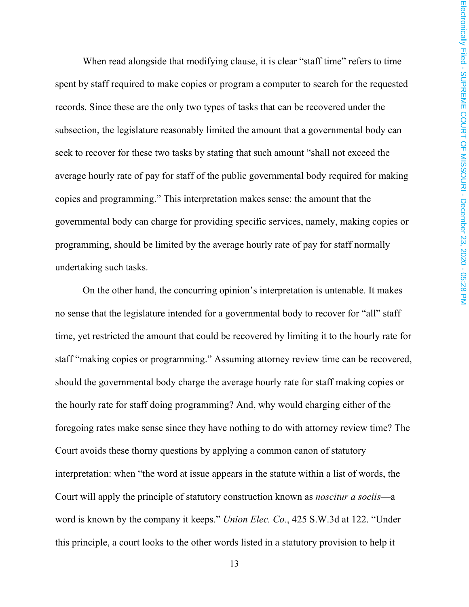When read alongside that modifying clause, it is clear "staff time" refers to time spent by staff required to make copies or program a computer to search for the requested records. Since these are the only two types of tasks that can be recovered under the subsection, the legislature reasonably limited the amount that a governmental body can seek to recover for these two tasks by stating that such amount "shall not exceed the average hourly rate of pay for staff of the public governmental body required for making copies and programming." This interpretation makes sense: the amount that the governmental body can charge for providing specific services, namely, making copies or programming, should be limited by the average hourly rate of pay for staff normally undertaking such tasks.

On the other hand, the concurring opinion's interpretation is untenable. It makes no sense that the legislature intended for a governmental body to recover for "all" staff time, yet restricted the amount that could be recovered by limiting it to the hourly rate for staff "making copies or programming." Assuming attorney review time can be recovered, should the governmental body charge the average hourly rate for staff making copies or the hourly rate for staff doing programming? And, why would charging either of the foregoing rates make sense since they have nothing to do with attorney review time? The Court avoids these thorny questions by applying a common canon of statutory interpretation: when "the word at issue appears in the statute within a list of words, the Court will apply the principle of statutory construction known as *noscitur a sociis*—a word is known by the company it keeps." *Union Elec. Co.*, 425 S.W.3d at 122. "Under this principle, a court looks to the other words listed in a statutory provision to help it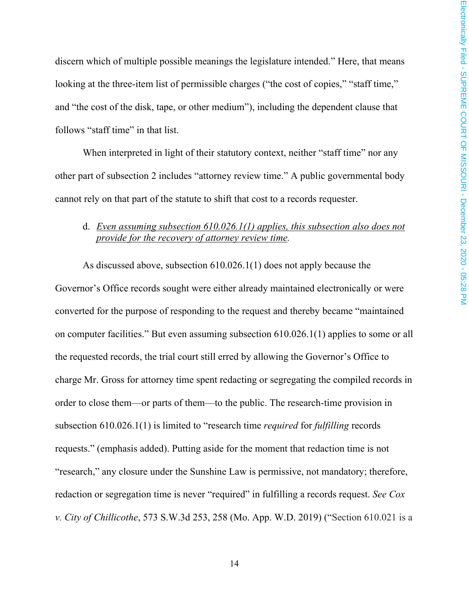discern which of multiple possible meanings the legislature intended." Here, that means looking at the three-item list of permissible charges ("the cost of copies," "staff time," and "the cost of the disk, tape, or other medium"), including the dependent clause that follows "staff time" in that list.

When interpreted in light of their statutory context, neither "staff time" nor any other part of subsection 2 includes "attorney review time." A public governmental body cannot rely on that part of the statute to shift that cost to a records requester.

#### <span id="page-14-0"></span>d. *Even assuming subsection 610.026.1(1) applies, this subsection also does not provide for the recovery of attorney review time.*

As discussed above, subsection 610.026.1(1) does not apply because the Governor's Office records sought were either already maintained electronically or were converted for the purpose of responding to the request and thereby became "maintained on computer facilities." But even assuming subsection 610.026.1(1) applies to some or all the requested records, the trial court still erred by allowing the Governor's Office to charge Mr. Gross for attorney time spent redacting or segregating the compiled records in order to close them—or parts of them—to the public. The research-time provision in subsection 610.026.1(1) is limited to "research time *required* for *fulfilling* records requests." (emphasis added). Putting aside for the moment that redaction time is not "research," any closure under the Sunshine Law is permissive, not mandatory; therefore, redaction or segregation time is never "required" in fulfilling a records request. *See Cox v. City of Chillicothe*, 573 S.W.3d 253, 258 (Mo. App. W.D. 2019) ("Section 610.021 is a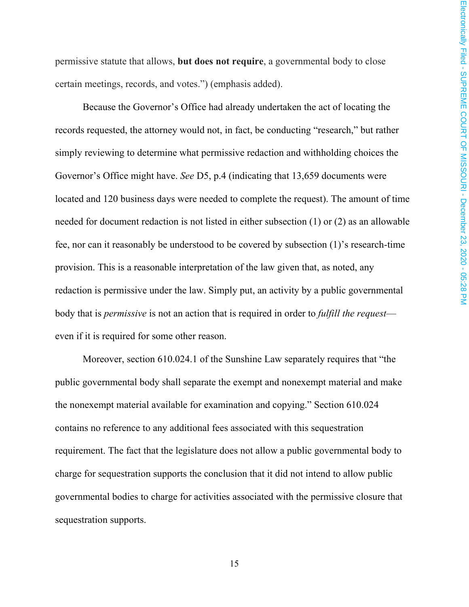permissive statute that allows, **but does not require**, a governmental body to close certain meetings, records, and votes.") (emphasis added).

Because the Governor's Office had already undertaken the act of locating the records requested, the attorney would not, in fact, be conducting "research," but rather simply reviewing to determine what permissive redaction and withholding choices the Governor's Office might have. *See* D5, p.4 (indicating that 13,659 documents were located and 120 business days were needed to complete the request). The amount of time needed for document redaction is not listed in either subsection (1) or (2) as an allowable fee, nor can it reasonably be understood to be covered by subsection (1)'s research-time provision. This is a reasonable interpretation of the law given that, as noted, any redaction is permissive under the law. Simply put, an activity by a public governmental body that is *permissive* is not an action that is required in order to *fulfill the request* even if it is required for some other reason.

Moreover, section 610.024.1 of the Sunshine Law separately requires that "the public governmental body shall separate the exempt and nonexempt material and make the nonexempt material available for examination and copying." Section 610.024 contains no reference to any additional fees associated with this sequestration requirement. The fact that the legislature does not allow a public governmental body to charge for sequestration supports the conclusion that it did not intend to allow public governmental bodies to charge for activities associated with the permissive closure that sequestration supports.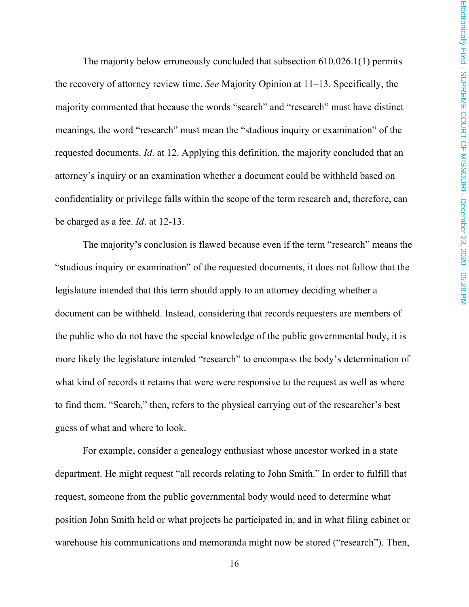The majority below erroneously concluded that subsection 610.026.1(1) permits the recovery of attorney review time. *See* Majority Opinion at 11–13. Specifically, the majority commented that because the words "search" and "research" must have distinct meanings, the word "research" must mean the "studious inquiry or examination" of the requested documents. *Id*. at 12. Applying this definition, the majority concluded that an attorney's inquiry or an examination whether a document could be withheld based on confidentiality or privilege falls within the scope of the term research and, therefore, can be charged as a fee. *Id*. at 12-13.

The majority's conclusion is flawed because even if the term "research" means the "studious inquiry or examination" of the requested documents, it does not follow that the legislature intended that this term should apply to an attorney deciding whether a document can be withheld. Instead, considering that records requesters are members of the public who do not have the special knowledge of the public governmental body, it is more likely the legislature intended "research" to encompass the body's determination of what kind of records it retains that were were responsive to the request as well as where to find them. "Search," then, refers to the physical carrying out of the researcher's best guess of what and where to look.

For example, consider a genealogy enthusiast whose ancestor worked in a state department. He might request "all records relating to John Smith." In order to fulfill that request, someone from the public governmental body would need to determine what position John Smith held or what projects he participated in, and in what filing cabinet or warehouse his communications and memoranda might now be stored ("research"). Then,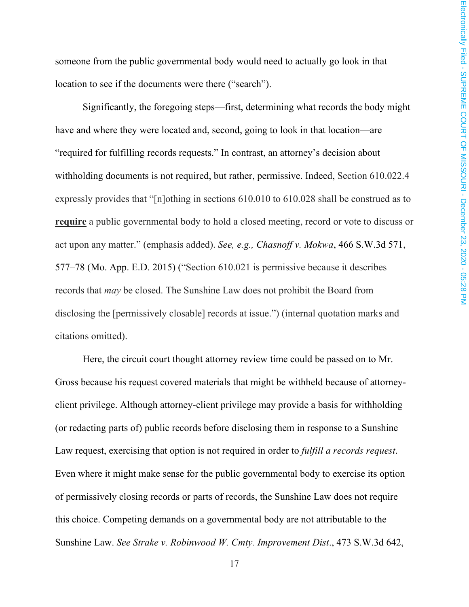someone from the public governmental body would need to actually go look in that location to see if the documents were there ("search").

Significantly, the foregoing steps—first, determining what records the body might have and where they were located and, second, going to look in that location—are "required for fulfilling records requests." In contrast, an attorney's decision about withholding documents is not required, but rather, permissive. Indeed, Section 610.022.4 expressly provides that "[n]othing in sections 610.010 to 610.028 shall be construed as to **require** a public governmental body to hold a closed meeting, record or vote to discuss or act upon any matter." (emphasis added). *See, e.g., Chasnoff v. Mokwa*, 466 S.W.3d 571, 577–78 (Mo. App. E.D. 2015) ("Section 610.021 is permissive because it describes records that *may* be closed. The Sunshine Law does not prohibit the Board from disclosing the [permissively closable] records at issue.") (internal quotation marks and citations omitted).

Here, the circuit court thought attorney review time could be passed on to Mr. Gross because his request covered materials that might be withheld because of attorneyclient privilege. Although attorney-client privilege may provide a basis for withholding (or redacting parts of) public records before disclosing them in response to a Sunshine Law request, exercising that option is not required in order to *fulfill a records request*. Even where it might make sense for the public governmental body to exercise its option of permissively closing records or parts of records, the Sunshine Law does not require this choice. Competing demands on a governmental body are not attributable to the Sunshine Law. *See Strake v. Robinwood W. Cmty. Improvement Dist*., 473 S.W.3d 642,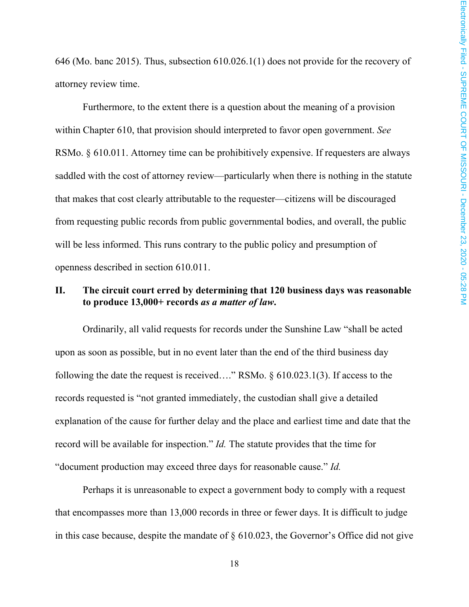646 (Mo. banc 2015). Thus, subsection 610.026.1(1) does not provide for the recovery of attorney review time.

Furthermore, to the extent there is a question about the meaning of a provision within Chapter 610, that provision should interpreted to favor open government. *See*  RSMo. § 610.011. Attorney time can be prohibitively expensive. If requesters are always saddled with the cost of attorney review—particularly when there is nothing in the statute that makes that cost clearly attributable to the requester—citizens will be discouraged from requesting public records from public governmental bodies, and overall, the public will be less informed. This runs contrary to the public policy and presumption of openness described in section 610.011.

#### <span id="page-18-0"></span>**II. The circuit court erred by determining that 120 business days was reasonable to produce 13,000+ records** *as a matter of law***.**

Ordinarily, all valid requests for records under the Sunshine Law "shall be acted upon as soon as possible, but in no event later than the end of the third business day following the date the request is received…." RSMo. § 610.023.1(3). If access to the records requested is "not granted immediately, the custodian shall give a detailed explanation of the cause for further delay and the place and earliest time and date that the record will be available for inspection." *Id.* The statute provides that the time for "document production may exceed three days for reasonable cause." *Id.*

Perhaps it is unreasonable to expect a government body to comply with a request that encompasses more than 13,000 records in three or fewer days. It is difficult to judge in this case because, despite the mandate of § 610.023, the Governor's Office did not give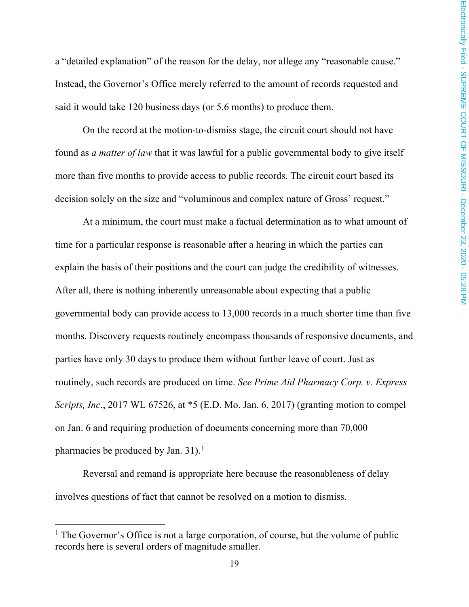a "detailed explanation" of the reason for the delay, nor allege any "reasonable cause." Instead, the Governor's Office merely referred to the amount of records requested and said it would take 120 business days (or 5.6 months) to produce them.

On the record at the motion-to-dismiss stage, the circuit court should not have found as *a matter of law* that it was lawful for a public governmental body to give itself more than five months to provide access to public records. The circuit court based its decision solely on the size and "voluminous and complex nature of Gross' request."

At a minimum, the court must make a factual determination as to what amount of time for a particular response is reasonable after a hearing in which the parties can explain the basis of their positions and the court can judge the credibility of witnesses. After all, there is nothing inherently unreasonable about expecting that a public governmental body can provide access to 13,000 records in a much shorter time than five months. Discovery requests routinely encompass thousands of responsive documents, and parties have only 30 days to produce them without further leave of court. Just as routinely, such records are produced on time. *See Prime Aid Pharmacy Corp. v. Express Scripts, Inc.*, 2017 WL 67526, at \*5 (E.D. Mo. Jan. 6, 2017) (granting motion to compel on Jan. 6 and requiring production of documents concerning more than 70,000 pharmacies be produced by Jan. 3[1](#page-19-0)).<sup>1</sup>

Reversal and remand is appropriate here because the reasonableness of delay involves questions of fact that cannot be resolved on a motion to dismiss.

<span id="page-19-0"></span> $<sup>1</sup>$  The Governor's Office is not a large corporation, of course, but the volume of public</sup> records here is several orders of magnitude smaller.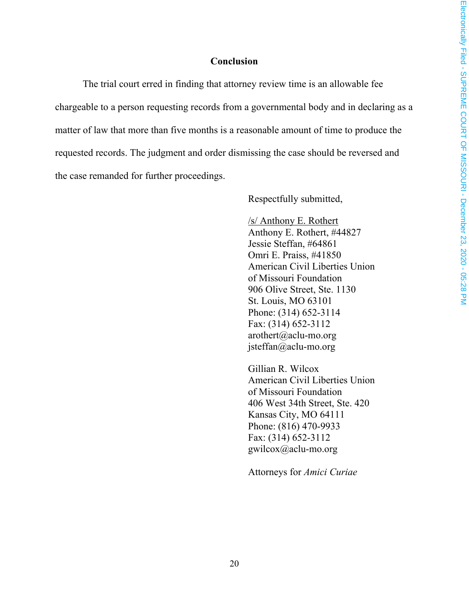#### **Conclusion**

<span id="page-20-0"></span>The trial court erred in finding that attorney review time is an allowable fee chargeable to a person requesting records from a governmental body and in declaring as a matter of law that more than five months is a reasonable amount of time to produce the requested records. The judgment and order dismissing the case should be reversed and the case remanded for further proceedings.

Respectfully submitted,

/s/ Anthony E. Rothert Anthony E. Rothert, #44827 Jessie Steffan, #64861 Omri E. Praiss, #41850 American Civil Liberties Union of Missouri Foundation 906 Olive Street, Ste. 1130 St. Louis, MO 63101 Phone: (314) 652-3114 Fax: (314) 652-3112 arothert@aclu-mo.org jsteffan@aclu-mo.org

Gillian R. Wilcox American Civil Liberties Union of Missouri Foundation 406 West 34th Street, Ste. 420 Kansas City, MO 64111 Phone: (816) 470-9933 Fax: (314) 652-3112 gwilcox@aclu-mo.org

Attorneys for *Amici Curiae*